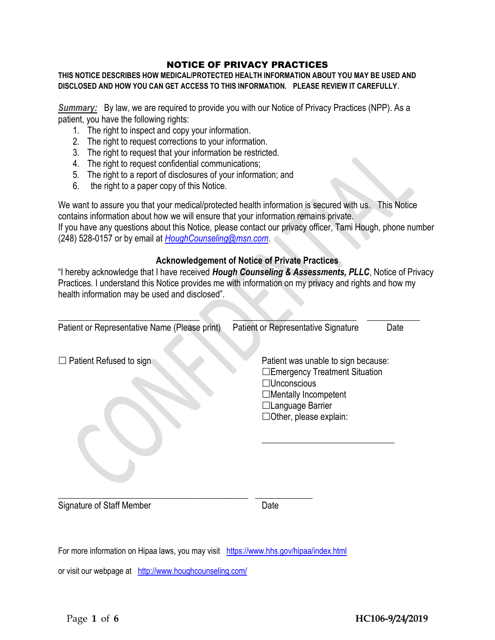# NOTICE OF PRIVACY PRACTICES

**THIS NOTICE DESCRIBES HOW MEDICAL/PROTECTED HEALTH INFORMATION ABOUT YOU MAY BE USED AND DISCLOSED AND HOW YOU CAN GET ACCESS TO THIS INFORMATION. PLEASE REVIEW IT CAREFULLY**.

*Summary:* By law, we are required to provide you with our Notice of Privacy Practices (NPP). As a patient, you have the following rights:

- 1. The right to inspect and copy your information.
- 2. The right to request corrections to your information.
- 3. The right to request that your information be restricted.
- 4. The right to request confidential communications;
- 5. The right to a report of disclosures of your information; and
- 6. the right to a paper copy of this Notice.

We want to assure you that your medical/protected health information is secured with us. This Notice contains information about how we will ensure that your information remains private. If you have any questions about this Notice, please contact our privacy officer, Tami Hough, phone number (248) 528-0157 or by email at *[HoughCounseling@msn.com](mailto:HoughCounseling@msn.com)*.

# **Acknowledgement of Notice of Private Practices**

"I hereby acknowledge that I have received *Hough Counseling & Assessments, PLLC*, Notice of Privacy Practices. I understand this Notice provides me with information on my privacy and rights and how my health information may be used and disclosed".

| Patient or Representative Name (Please print) | Patient or Representative Signature                                                                                                                                              | Date |
|-----------------------------------------------|----------------------------------------------------------------------------------------------------------------------------------------------------------------------------------|------|
| $\Box$ Patient Refused to sign                | Patient was unable to sign because:<br>□Emergency Treatment Situation<br>$\Box$ Unconscious<br>$\Box$ Mentally Incompetent<br>□Language Barrier<br>$\Box$ Other, please explain: |      |
| Signature of Staff Member                     | Date                                                                                                                                                                             |      |

For more information on Hipaa laws, you may visit <https://www.hhs.gov/hipaa/index.html>

or visit our webpage at <http://www.houghcounseling.com/>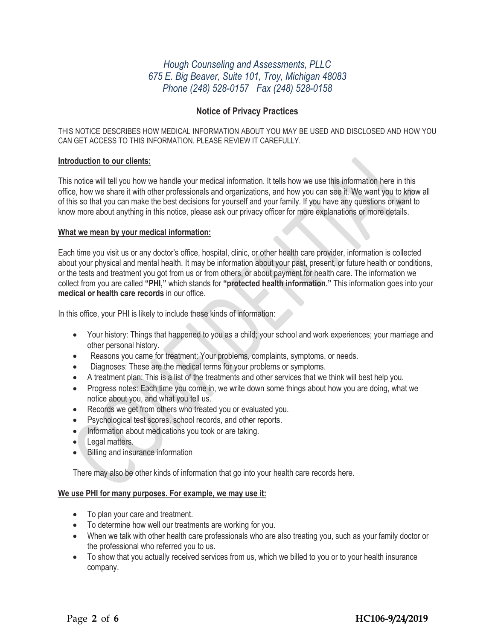# *Hough Counseling and Assessments, PLLC 675 E. Big Beaver, Suite 101, Troy, Michigan 48083 Phone (248) 528-0157 Fax (248) 528-0158*

# **Notice of Privacy Practices**

THIS NOTICE DESCRIBES HOW MEDICAL INFORMATION ABOUT YOU MAY BE USED AND DISCLOSED AND HOW YOU CAN GET ACCESS TO THIS INFORMATION. PLEASE REVIEW IT CAREFULLY.

#### **Introduction to our clients:**

This notice will tell you how we handle your medical information. It tells how we use this information here in this office, how we share it with other professionals and organizations, and how you can see it. We want you to know all of this so that you can make the best decisions for yourself and your family. If you have any questions or want to know more about anything in this notice, please ask our privacy officer for more explanations or more details.

#### **What we mean by your medical information:**

Each time you visit us or any doctor's office, hospital, clinic, or other health care provider, information is collected about your physical and mental health. It may be information about your past, present, or future health or conditions, or the tests and treatment you got from us or from others, or about payment for health care. The information we collect from you are called **"PHI,"** which stands for **"protected health information."** This information goes into your **medical or health care records** in our office.

In this office, your PHI is likely to include these kinds of information:

- Your history: Things that happened to you as a child; your school and work experiences; your marriage and other personal history.
- Reasons you came for treatment: Your problems, complaints, symptoms, or needs.
- Diagnoses: These are the medical terms for your problems or symptoms.
- A treatment plan: This is a list of the treatments and other services that we think will best help you.
- Progress notes: Each time you come in, we write down some things about how you are doing, what we notice about you, and what you tell us.
- Records we get from others who treated you or evaluated you.
- Psychological test scores, school records, and other reports.
- Information about medications you took or are taking.
- Legal matters.
- Billing and insurance information

There may also be other kinds of information that go into your health care records here.

#### **We use PHI for many purposes. For example, we may use it:**

- To plan your care and treatment.
- To determine how well our treatments are working for you.
- When we talk with other health care professionals who are also treating you, such as your family doctor or the professional who referred you to us.
- To show that you actually received services from us, which we billed to you or to your health insurance company.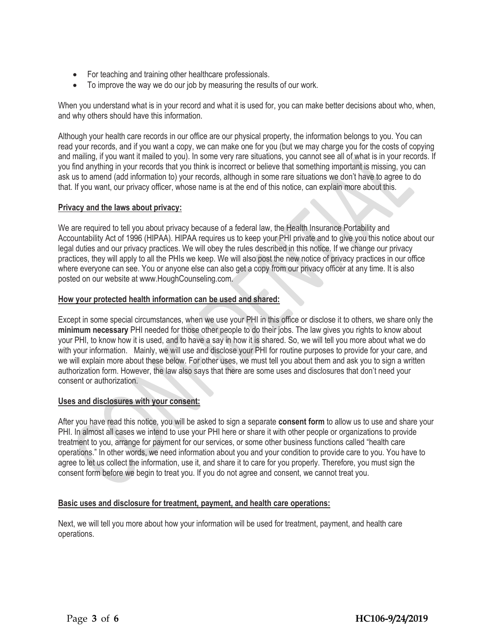- For teaching and training other healthcare professionals.
- To improve the way we do our job by measuring the results of our work.

When you understand what is in your record and what it is used for, you can make better decisions about who, when, and why others should have this information.

Although your health care records in our office are our physical property, the information belongs to you. You can read your records, and if you want a copy, we can make one for you (but we may charge you for the costs of copying and mailing, if you want it mailed to you). In some very rare situations, you cannot see all of what is in your records. If you find anything in your records that you think is incorrect or believe that something important is missing, you can ask us to amend (add information to) your records, although in some rare situations we don't have to agree to do that. If you want, our privacy officer, whose name is at the end of this notice, can explain more about this.

# **Privacy and the laws about privacy:**

We are required to tell you about privacy because of a federal law, the Health Insurance Portability and Accountability Act of 1996 (HIPAA). HIPAA requires us to keep your PHI private and to give you this notice about our legal duties and our privacy practices. We will obey the rules described in this notice. If we change our privacy practices, they will apply to all the PHIs we keep. We will also post the new notice of privacy practices in our office where everyone can see. You or anyone else can also get a copy from our privacy officer at any time. It is also posted on our website at www.HoughCounseling.com.

# **How your protected health information can be used and shared:**

Except in some special circumstances, when we use your PHI in this office or disclose it to others, we share only the **minimum necessary** PHI needed for those other people to do their jobs. The law gives you rights to know about your PHI, to know how it is used, and to have a say in how it is shared. So, we will tell you more about what we do with your information. Mainly, we will use and disclose your PHI for routine purposes to provide for your care, and we will explain more about these below. For other uses, we must tell you about them and ask you to sign a written authorization form. However, the law also says that there are some uses and disclosures that don't need your consent or authorization.

#### **Uses and disclosures with your consent:**

After you have read this notice, you will be asked to sign a separate **consent form** to allow us to use and share your PHI. In almost all cases we intend to use your PHI here or share it with other people or organizations to provide treatment to you, arrange for payment for our services, or some other business functions called "health care operations." In other words, we need information about you and your condition to provide care to you. You have to agree to let us collect the information, use it, and share it to care for you properly. Therefore, you must sign the consent form before we begin to treat you. If you do not agree and consent, we cannot treat you.

# **Basic uses and disclosure for treatment, payment, and health care operations:**

Next, we will tell you more about how your information will be used for treatment, payment, and health care operations.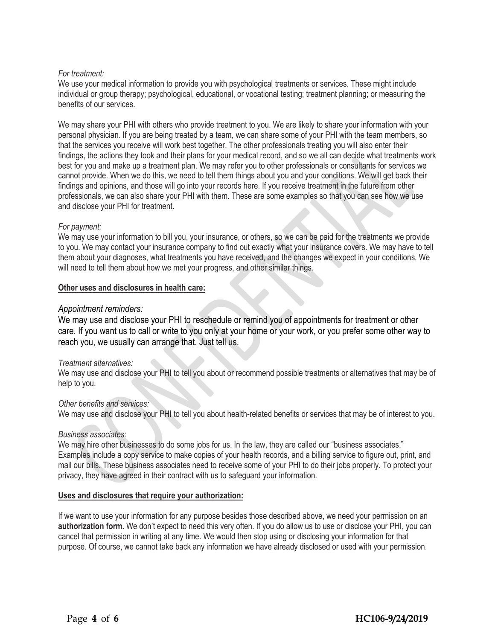# *For treatment:*

We use your medical information to provide you with psychological treatments or services. These might include individual or group therapy; psychological, educational, or vocational testing; treatment planning; or measuring the benefits of our services.

We may share your PHI with others who provide treatment to you. We are likely to share your information with your personal physician. If you are being treated by a team, we can share some of your PHI with the team members, so that the services you receive will work best together. The other professionals treating you will also enter their findings, the actions they took and their plans for your medical record, and so we all can decide what treatments work best for you and make up a treatment plan. We may refer you to other professionals or consultants for services we cannot provide. When we do this, we need to tell them things about you and your conditions. We will get back their findings and opinions, and those will go into your records here. If you receive treatment in the future from other professionals, we can also share your PHI with them. These are some examples so that you can see how we use and disclose your PHI for treatment.

# *For payment:*

We may use your information to bill you, your insurance, or others, so we can be paid for the treatments we provide to you. We may contact your insurance company to find out exactly what your insurance covers. We may have to tell them about your diagnoses, what treatments you have received, and the changes we expect in your conditions. We will need to tell them about how we met your progress, and other similar things.

#### **Other uses and disclosures in health care:**

# *Appointment reminders:*

We may use and disclose your PHI to reschedule or remind you of appointments for treatment or other care. If you want us to call or write to you only at your home or your work, or you prefer some other way to reach you, we usually can arrange that. Just tell us.

#### *Treatment alternatives:*

We may use and disclose your PHI to tell you about or recommend possible treatments or alternatives that may be of help to you.

#### *Other benefits and services:*

We may use and disclose your PHI to tell you about health-related benefits or services that may be of interest to you.

#### *Business associates:*

We may hire other businesses to do some jobs for us. In the law, they are called our "business associates." Examples include a copy service to make copies of your health records, and a billing service to figure out, print, and mail our bills. These business associates need to receive some of your PHI to do their jobs properly. To protect your privacy, they have agreed in their contract with us to safeguard your information.

#### **Uses and disclosures that require your authorization:**

If we want to use your information for any purpose besides those described above, we need your permission on an **authorization form.** We don't expect to need this very often. If you do allow us to use or disclose your PHI, you can cancel that permission in writing at any time. We would then stop using or disclosing your information for that purpose. Of course, we cannot take back any information we have already disclosed or used with your permission.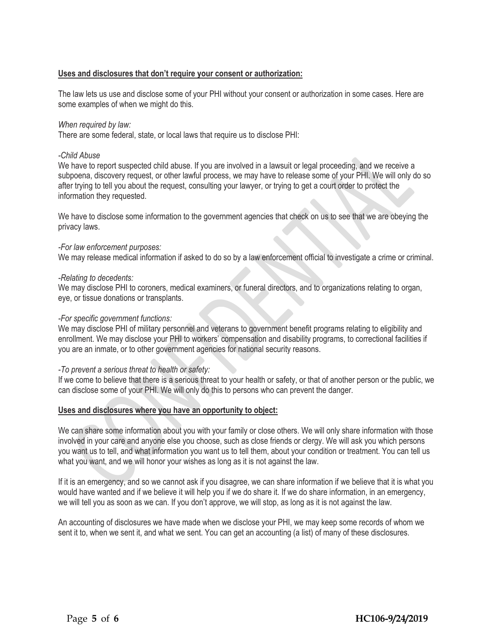### **Uses and disclosures that don't require your consent or authorization:**

The law lets us use and disclose some of your PHI without your consent or authorization in some cases. Here are some examples of when we might do this.

#### *When required by law:*

There are some federal, state, or local laws that require us to disclose PHI:

#### *-Child Abuse*

We have to report suspected child abuse. If you are involved in a lawsuit or legal proceeding, and we receive a subpoena, discovery request, or other lawful process, we may have to release some of your PHI. We will only do so after trying to tell you about the request, consulting your lawyer, or trying to get a court order to protect the information they requested.

We have to disclose some information to the government agencies that check on us to see that we are obeying the privacy laws.

#### *-For law enforcement purposes:*

We may release medical information if asked to do so by a law enforcement official to investigate a crime or criminal.

#### *-Relating to decedents:*

We may disclose PHI to coroners, medical examiners, or funeral directors, and to organizations relating to organ, eye, or tissue donations or transplants.

#### *-For specific government functions:*

We may disclose PHI of military personnel and veterans to government benefit programs relating to eligibility and enrollment. We may disclose your PHI to workers' compensation and disability programs, to correctional facilities if you are an inmate, or to other government agencies for national security reasons.

#### *-To prevent a serious threat to health or safety:*

If we come to believe that there is a serious threat to your health or safety, or that of another person or the public, we can disclose some of your PHI. We will only do this to persons who can prevent the danger.

#### **Uses and disclosures where you have an opportunity to object:**

We can share some information about you with your family or close others. We will only share information with those involved in your care and anyone else you choose, such as close friends or clergy. We will ask you which persons you want us to tell, and what information you want us to tell them, about your condition or treatment. You can tell us what you want, and we will honor your wishes as long as it is not against the law.

If it is an emergency, and so we cannot ask if you disagree, we can share information if we believe that it is what you would have wanted and if we believe it will help you if we do share it. If we do share information, in an emergency, we will tell you as soon as we can. If you don't approve, we will stop, as long as it is not against the law.

An accounting of disclosures we have made when we disclose your PHI, we may keep some records of whom we sent it to, when we sent it, and what we sent. You can get an accounting (a list) of many of these disclosures.